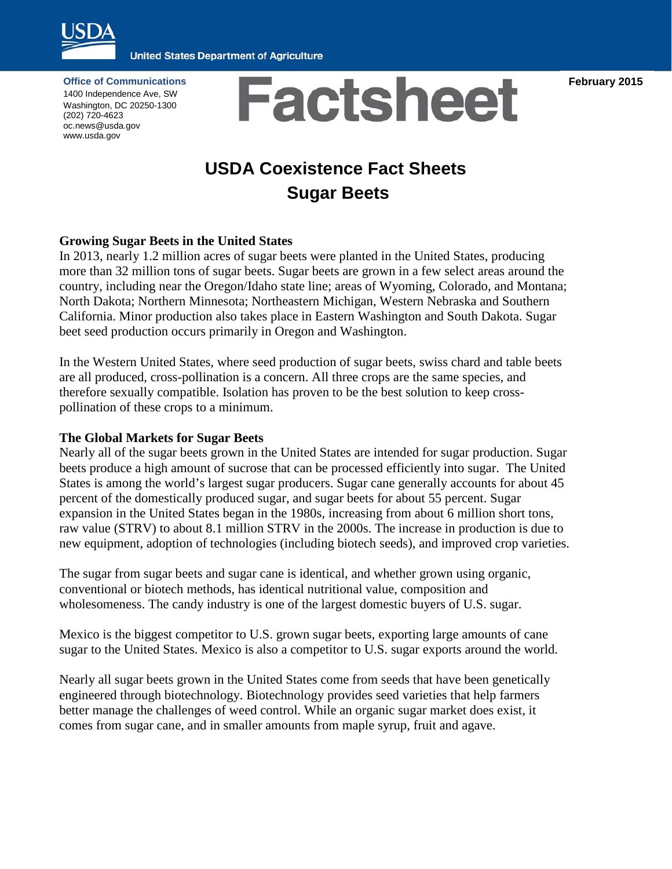

**United States Department of Agriculture** 

**February 2015**

**Office of Communications** 1400 Independence Ave, SW Washington, DC 20250-1300 (202) 720-4623 oc.news@usda.gov www.usda.gov



# **USDA Coexistence Fact Sheets Sugar Beets**

## **Growing Sugar Beets in the United States**

In 2013, nearly 1.2 million acres of sugar beets were planted in the United States, producing more than 32 million tons of sugar beets. Sugar beets are grown in a few select areas around the country, including near the Oregon/Idaho state line; areas of Wyoming, Colorado, and Montana; North Dakota; Northern Minnesota; Northeastern Michigan, Western Nebraska and Southern California. Minor production also takes place in Eastern Washington and South Dakota. Sugar beet seed production occurs primarily in Oregon and Washington.

In the Western United States, where seed production of sugar beets, swiss chard and table beets are all produced, cross-pollination is a concern. All three crops are the same species, and therefore sexually compatible. Isolation has proven to be the best solution to keep crosspollination of these crops to a minimum.

#### **The Global Markets for Sugar Beets**

Nearly all of the sugar beets grown in the United States are intended for sugar production. Sugar beets produce a high amount of sucrose that can be processed efficiently into sugar. The United States is among the world's largest sugar producers. Sugar cane generally accounts for about 45 percent of the domestically produced sugar, and sugar beets for about 55 percent. Sugar expansion in the United States began in the 1980s, increasing from about 6 million short tons, raw value (STRV) to about 8.1 million STRV in the 2000s. The increase in production is due to new equipment, adoption of technologies (including biotech seeds), and improved crop varieties.

The sugar from sugar beets and sugar cane is identical, and whether grown using organic, conventional or biotech methods, has identical nutritional value, composition and wholesomeness. The candy industry is one of the largest domestic buyers of U.S. sugar.

Mexico is the biggest competitor to U.S. grown sugar beets, exporting large amounts of cane sugar to the United States. Mexico is also a competitor to U.S. sugar exports around the world.

Nearly all sugar beets grown in the United States come from seeds that have been genetically engineered through biotechnology. Biotechnology provides seed varieties that help farmers better manage the challenges of weed control. While an organic sugar market does exist, it comes from sugar cane, and in smaller amounts from maple syrup, fruit and agave.